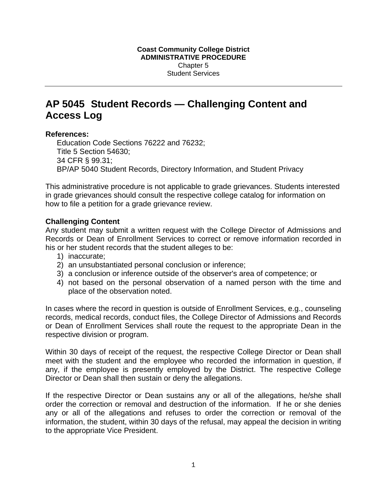## **AP 5045 Student Records — Challenging Content and Access Log**

## **References:**

Education Code Sections 76222 and 76232; Title 5 Section 54630; 34 CFR § 99.31; BP/AP 5040 Student Records, Directory Information, and Student Privacy

This administrative procedure is not applicable to grade grievances. Students interested in grade grievances should consult the respective college catalog for information on how to file a petition for a grade grievance review.

## **Challenging Content**

Any student may submit a written request with the College Director of Admissions and Records or Dean of Enrollment Services to correct or remove information recorded in his or her student records that the student alleges to be:

- 1) inaccurate;
- 2) an unsubstantiated personal conclusion or inference;
- 3) a conclusion or inference outside of the observer's area of competence; or
- 4) not based on the personal observation of a named person with the time and place of the observation noted.

In cases where the record in question is outside of Enrollment Services, e.g., counseling records, medical records, conduct files, the College Director of Admissions and Records or Dean of Enrollment Services shall route the request to the appropriate Dean in the respective division or program.

Within 30 days of receipt of the request, the respective College Director or Dean shall meet with the student and the employee who recorded the information in question, if any, if the employee is presently employed by the District. The respective College Director or Dean shall then sustain or deny the allegations.

If the respective Director or Dean sustains any or all of the allegations, he/she shall order the correction or removal and destruction of the information. If he or she denies any or all of the allegations and refuses to order the correction or removal of the information, the student, within 30 days of the refusal, may appeal the decision in writing to the appropriate Vice President.